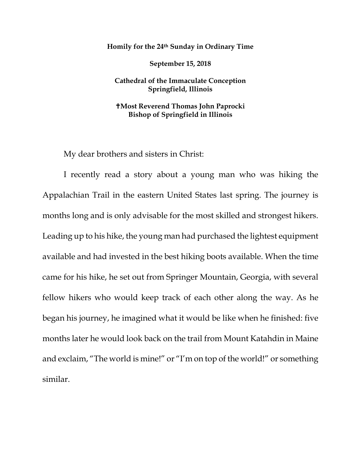**Homily for the 24th Sunday in Ordinary Time**

**September 15, 2018**

## **Cathedral of the Immaculate Conception Springfield, Illinois**

## **Most Reverend Thomas John Paprocki Bishop of Springfield in Illinois**

My dear brothers and sisters in Christ:

I recently read a story about a young man who was hiking the Appalachian Trail in the eastern United States last spring. The journey is months long and is only advisable for the most skilled and strongest hikers. Leading up to his hike, the young man had purchased the lightest equipment available and had invested in the best hiking boots available. When the time came for his hike, he set out from Springer Mountain, Georgia, with several fellow hikers who would keep track of each other along the way. As he began his journey, he imagined what it would be like when he finished: five months later he would look back on the trail from Mount Katahdin in Maine and exclaim, "The world is mine!" or "I'm on top of the world!" or something similar.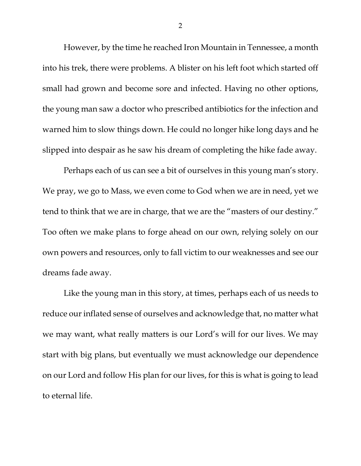However, by the time he reached Iron Mountain in Tennessee, a month into his trek, there were problems. A blister on his left foot which started off small had grown and become sore and infected. Having no other options, the young man saw a doctor who prescribed antibiotics for the infection and warned him to slow things down. He could no longer hike long days and he slipped into despair as he saw his dream of completing the hike fade away.

Perhaps each of us can see a bit of ourselves in this young man's story. We pray, we go to Mass, we even come to God when we are in need, yet we tend to think that we are in charge, that we are the "masters of our destiny." Too often we make plans to forge ahead on our own, relying solely on our own powers and resources, only to fall victim to our weaknesses and see our dreams fade away.

Like the young man in this story, at times, perhaps each of us needs to reduce our inflated sense of ourselves and acknowledge that, no matter what we may want, what really matters is our Lord's will for our lives. We may start with big plans, but eventually we must acknowledge our dependence on our Lord and follow His plan for our lives, for this is what is going to lead to eternal life.

2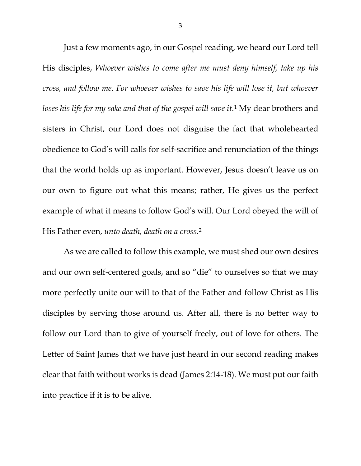Just a few moments ago, in our Gospel reading, we heard our Lord tell His disciples, *Whoever wishes to come after me must deny himself, take up his cross, and follow me. For whoever wishes to save his life will lose it, but whoever loses his life for my sake and that of the gospel will save it.*[1](#page-4-0) My dear brothers and sisters in Christ, our Lord does not disguise the fact that wholehearted obedience to God's will calls for self-sacrifice and renunciation of the things that the world holds up as important. However, Jesus doesn't leave us on our own to figure out what this means; rather, He gives us the perfect example of what it means to follow God's will. Our Lord obeyed the will of His Father even, *unto death, death on a cross*[.2](#page-4-1)

As we are called to follow this example, we must shed our own desires and our own self-centered goals, and so "die" to ourselves so that we may more perfectly unite our will to that of the Father and follow Christ as His disciples by serving those around us. After all, there is no better way to follow our Lord than to give of yourself freely, out of love for others. The Letter of Saint James that we have just heard in our second reading makes clear that faith without works is dead (James 2:14-18). We must put our faith into practice if it is to be alive.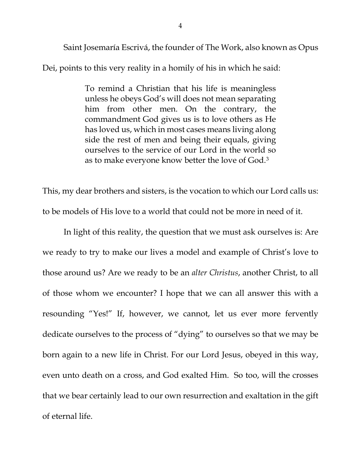Saint Josemaría Escrivá, the founder of The Work, also known as Opus

Dei, points to this very reality in a homily of his in which he said:

To remind a Christian that his life is meaningless unless he obeys God's will does not mean separating him from other men. On the contrary, the commandment God gives us is to love others as He has loved us, which in most cases means living along side the rest of men and being their equals, giving ourselves to the service of our Lord in the world so as to make everyone know better the love of God.[3](#page-4-2)

This, my dear brothers and sisters, is the vocation to which our Lord calls us: to be models of His love to a world that could not be more in need of it.

In light of this reality, the question that we must ask ourselves is: Are we ready to try to make our lives a model and example of Christ's love to those around us? Are we ready to be an *alter Christus*, another Christ, to all of those whom we encounter? I hope that we can all answer this with a resounding "Yes!" If, however, we cannot, let us ever more fervently dedicate ourselves to the process of "dying" to ourselves so that we may be born again to a new life in Christ. For our Lord Jesus, obeyed in this way, even unto death on a cross, and God exalted Him. So too, will the crosses that we bear certainly lead to our own resurrection and exaltation in the gift of eternal life.